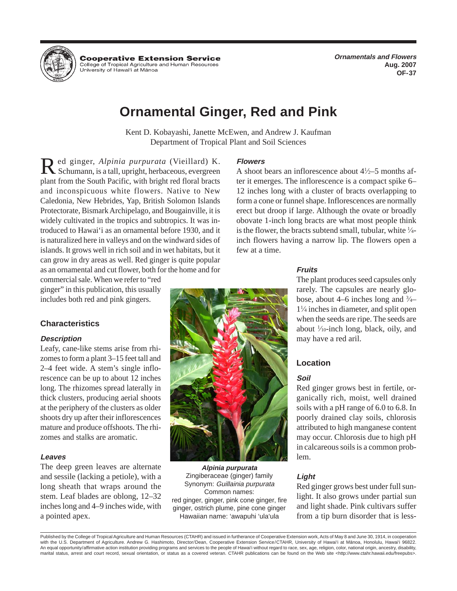

**Cooperative Extension Service** College of Tropical Agriculture and Human Resources University of Hawai'i at Mānoa

**Ornamentals and Flowers Aug. 2007 OF-37** 

# **Ornamental Ginger, Red and Pink**

Kent D. Kobayashi, Janette McEwen, and Andrew J. Kaufman Department of Tropical Plant and Soil Sciences

Red ginger, *Alpinia purpurata* (Vieillard) K. **Flowers**<br>
Schumann, is a tall, upright, herbaceous, evergreen A shoot bears an inflorescence about 4<sup>1</sup> plant from the South Pacific, with bright red floral bracts ter it emerges. The inflorescence is a compact spike 6– and inconspicuous white flowers. Native to New 12 inches long with a cluster of bracts overlapping to Caledonia, New Hebrides, Yap, British Solomon Islands form a cone or funnel shape. Inflorescences are normally Protectorate, Bismark Archipelago, and Bougainville, it is erect but droop if large. Although the ovate or broadly widely cultivated in the tropics and subtropics. It was in-<br>obovate 1-inch long bracts are what most people think troduced to Hawai'i as an ornamental before 1930, and it is naturalized here in valleys and on the windward sides of inch flowers having a narrow lip. The flowers open a islands. It grows well in rich soil and in wet habitats, but it few at a time. can grow in dry areas as well. Red ginger is quite popular as an ornamental and cut flower, both for the home and for **Fruits** 

Leafy, cane-like stems arise from rhi-

The deep green leaves are alternate **Alpinia purpurata**  and sessile (lacking a petiole), with a Zingiberaceae (ginger) family **Light Light Light Light Reduction Reduction Reduction Reduction Reduction Reduction Reduction Reduction Reduction Reduction** long sheath that wraps around the Synonym: *Guillainia purpurata*<br>stem. Leaf blades are oblong, 12–32 red ginger, ginger, pink cone ginger, fire light. It also grows under partial sun-<br>inches long and 4–9 inches wide, with a pointed apex. Hawaiian name: 'awapuhi 'ula'ula from a tip burn disorder that is less-



A shoot bears an inflorescence about  $4\frac{1}{2}$ –5 months afis the flower, the bracts subtend small, tubular, white 1/4-

commercial sale. When we refer to "red The plant produces seed capsules only 11 ⁄4 inches in diameter, and split open

in calcareous soils is a common prob-

Published by the College of Tropical Agriculture and Human Resources (CTAHR) and issued in furtherance of Cooperative Extension work, Acts of May 8 and June 30, 1914, in cooperation with the U.S. Department of Agriculture. Andrew G. Hashimoto, Director/Dean, Cooperative Extension Service/CTAHR, University of Hawai'i at Mänoa, Honolulu, Hawai'i 96822. An equal opportunity/affirmative action institution providing programs and services to the people of Hawai'i without regard to race, sex, age, religion, color, national origin, ancestry, disability, marital status, arrest and court record, sexual orientation, or status as a covered veteran. CTAHR publications can be found on the Web site <http://www.ctahr.hawaii.edu/freepubs>.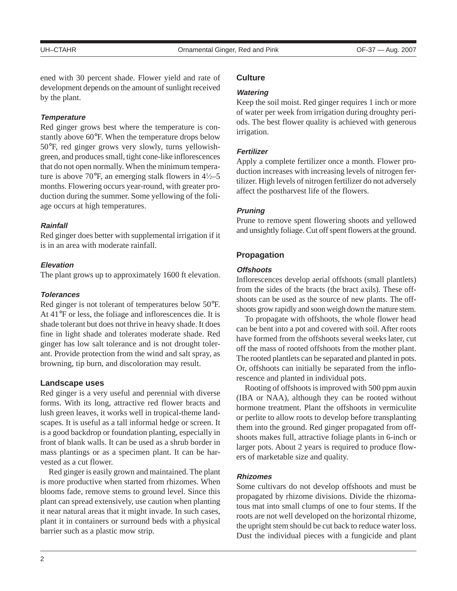ened with 30 percent shade. Flower yield and rate of development depends on the amount of sunlight received by the plant.

### **Temperature**

Red ginger grows best where the temperature is constantly above 60°F. When the temperature drops below 50°F, red ginger grows very slowly, turns yellowishgreen, and produces small, tight cone-like inflorescences that do not open normally. When the minimum temperature is above 70°F, an emerging stalk flowers in  $4\frac{1}{2}$ –5 months. Flowering occurs year-round, with greater production during the summer. Some yellowing of the foliage occurs at high temperatures.

### **Rainfall**

Red ginger does better with supplemental irrigation if it is in an area with moderate rainfall.

### **Elevation**

The plant grows up to approximately 1600 ft elevation.

#### **Tolerances**

Red ginger is not tolerant of temperatures below 50°F. At 41°F or less, the foliage and inflorescences die. It is shade tolerant but does not thrive in heavy shade. It does fine in light shade and tolerates moderate shade. Red ginger has low salt tolerance and is not drought tolerant. Provide protection from the wind and salt spray, as browning, tip burn, and discoloration may result.

#### **Landscape uses**

Red ginger is a very useful and perennial with diverse forms. With its long, attractive red flower bracts and lush green leaves, it works well in tropical-theme landscapes. It is useful as a tall informal hedge or screen. It is a good backdrop or foundation planting, especially in front of blank walls. It can be used as a shrub border in mass plantings or as a specimen plant. It can be harvested as a cut flower.

Red ginger is easily grown and maintained. The plant is more productive when started from rhizomes. When blooms fade, remove stems to ground level. Since this plant can spread extensively, use caution when planting it near natural areas that it might invade. In such cases, plant it in containers or surround beds with a physical barrier such as a plastic mow strip.

# **Culture**

#### **Watering**

Keep the soil moist. Red ginger requires 1 inch or more of water per week from irrigation during droughty periods. The best flower quality is achieved with generous irrigation.

#### **Fertilizer**

Apply a complete fertilizer once a month. Flower production increases with increasing levels of nitrogen fertilizer. High levels of nitrogen fertilizer do not adversely affect the postharvest life of the flowers.

#### **Pruning**

Prune to remove spent flowering shoots and yellowed and unsightly foliage. Cut off spent flowers at the ground.

### **Propagation**

#### **Offshoots**

Inflorescences develop aerial offshoots (small plantlets) from the sides of the bracts (the bract axils). These offshoots can be used as the source of new plants. The offshoots grow rapidly and soon weigh down the mature stem.

To propagate with offshoots, the whole flower head can be bent into a pot and covered with soil. After roots have formed from the offshoots several weeks later, cut off the mass of rooted offshoots from the mother plant. The rooted plantlets can be separated and planted in pots. Or, offshoots can initially be separated from the inflorescence and planted in individual pots.

Rooting of offshoots is improved with 500 ppm auxin (IBA or NAA), although they can be rooted without hormone treatment. Plant the offshoots in vermiculite or perlite to allow roots to develop before transplanting them into the ground. Red ginger propagated from offshoots makes full, attractive foliage plants in 6-inch or larger pots. About 2 years is required to produce flowers of marketable size and quality.

#### **Rhizomes**

Some cultivars do not develop offshoots and must be propagated by rhizome divisions. Divide the rhizomatous mat into small clumps of one to four stems. If the roots are not well developed on the horizontal rhizome, the upright stem should be cut back to reduce water loss. Dust the individual pieces with a fungicide and plant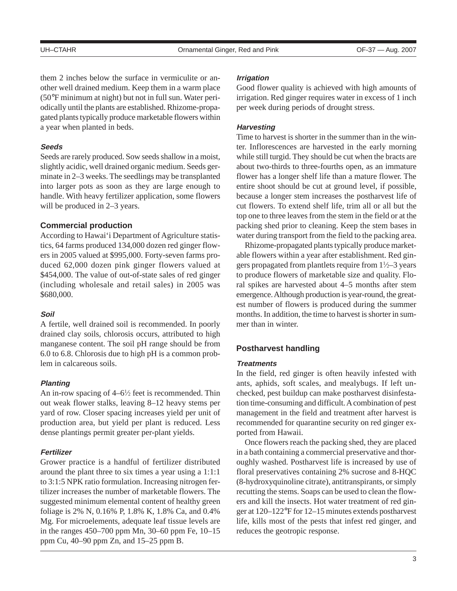them 2 inches below the surface in vermiculite or another well drained medium. Keep them in a warm place (50°F minimum at night) but not in full sun. Water periodically until the plants are established. Rhizome-propagated plants typically produce marketable flowers within a year when planted in beds.

# **Seeds**

Seeds are rarely produced. Sow seeds shallow in a moist, slightly acidic, well drained organic medium. Seeds germinate in 2–3 weeks. The seedlings may be transplanted into larger pots as soon as they are large enough to handle. With heavy fertilizer application, some flowers will be produced in 2–3 years.

# **Commercial production**

According to Hawai'i Department of Agriculture statistics, 64 farms produced 134,000 dozen red ginger flowers in 2005 valued at \$995,000. Forty-seven farms produced 62,000 dozen pink ginger flowers valued at \$454,000. The value of out-of-state sales of red ginger (including wholesale and retail sales) in 2005 was \$680,000.

### **Soil**

A fertile, well drained soil is recommended. In poorly drained clay soils, chlorosis occurs, attributed to high manganese content. The soil pH range should be from 6.0 to 6.8. Chlorosis due to high pH is a common problem in calcareous soils.

### **Planting**

An in-row spacing of  $4-6\frac{1}{2}$  feet is recommended. Thin out weak flower stalks, leaving 8–12 heavy stems per yard of row. Closer spacing increases yield per unit of production area, but yield per plant is reduced. Less dense plantings permit greater per-plant yields.

### **Fertilizer**

Grower practice is a handful of fertilizer distributed around the plant three to six times a year using a 1:1:1 to 3:1:5 NPK ratio formulation. Increasing nitrogen fertilizer increases the number of marketable flowers. The suggested minimum elemental content of healthy green foliage is 2% N, 0.16% P, 1.8% K, 1.8% Ca, and 0.4% Mg. For microelements, adequate leaf tissue levels are in the ranges 450–700 ppm Mn, 30–60 ppm Fe, 10–15 ppm Cu, 40–90 ppm Zn, and 15–25 ppm B.

#### **Irrigation**

Good flower quality is achieved with high amounts of irrigation. Red ginger requires water in excess of 1 inch per week during periods of drought stress.

### **Harvesting**

Time to harvest is shorter in the summer than in the winter. Inflorescences are harvested in the early morning while still turgid. They should be cut when the bracts are about two-thirds to three-fourths open, as an immature flower has a longer shelf life than a mature flower. The entire shoot should be cut at ground level, if possible, because a longer stem increases the postharvest life of cut flowers. To extend shelf life, trim all or all but the top one to three leaves from the stem in the field or at the packing shed prior to cleaning. Keep the stem bases in water during transport from the field to the packing area.

Rhizome-propagated plants typically produce marketable flowers within a year after establishment. Red gingers propagated from plantlets require from  $1\frac{1}{2}$ –3 years to produce flowers of marketable size and quality. Floral spikes are harvested about 4–5 months after stem emergence. Although production is year-round, the greatest number of flowers is produced during the summer months. In addition, the time to harvest is shorter in summer than in winter.

# **Postharvest handling**

### **Treatments**

In the field, red ginger is often heavily infested with ants, aphids, soft scales, and mealybugs. If left unchecked, pest buildup can make postharvest disinfestation time-consuming and difficult. A combination of pest management in the field and treatment after harvest is recommended for quarantine security on red ginger exported from Hawaii.

Once flowers reach the packing shed, they are placed in a bath containing a commercial preservative and thoroughly washed. Postharvest life is increased by use of floral preservatives containing 2% sucrose and 8-HQC (8-hydroxyquinoline citrate), antitranspirants, or simply recutting the stems. Soaps can be used to clean the flowers and kill the insects. Hot water treatment of red ginger at 120–122°F for 12–15 minutes extends postharvest life, kills most of the pests that infest red ginger, and reduces the geotropic response.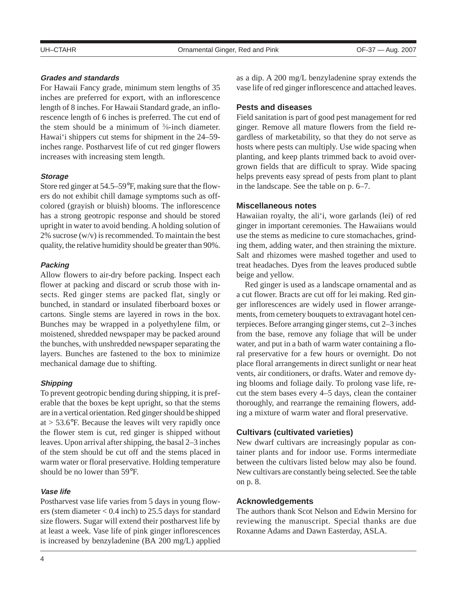# **Grades and standards**

For Hawaii Fancy grade, minimum stem lengths of 35 inches are preferred for export, with an inflorescence length of 8 inches. For Hawaii Standard grade, an inflorescence length of 6 inches is preferred. The cut end of the stem should be a minimum of  $\frac{3}{8}$ -inch diameter. Hawai'i shippers cut stems for shipment in the 24–59 inches range. Postharvest life of cut red ginger flowers increases with increasing stem length.

### **Storage**

Store red ginger at 54.5–59°F, making sure that the flowers do not exhibit chill damage symptoms such as offcolored (grayish or bluish) blooms. The inflorescence has a strong geotropic response and should be stored upright in water to avoid bending. A holding solution of 2% sucrose (w/v) is recommended. To maintain the best quality, the relative humidity should be greater than 90%.

# **Packing**

Allow flowers to air-dry before packing. Inspect each flower at packing and discard or scrub those with insects. Red ginger stems are packed flat, singly or bunched, in standard or insulated fiberboard boxes or cartons. Single stems are layered in rows in the box. Bunches may be wrapped in a polyethylene film, or moistened, shredded newspaper may be packed around the bunches, with unshredded newspaper separating the layers. Bunches are fastened to the box to minimize mechanical damage due to shifting.

# **Shipping**

To prevent geotropic bending during shipping, it is preferable that the boxes be kept upright, so that the stems are in a vertical orientation. Red ginger should be shipped at  $>$  53.6 $\degree$ F. Because the leaves wilt very rapidly once the flower stem is cut, red ginger is shipped without leaves. Upon arrival after shipping, the basal 2–3 inches of the stem should be cut off and the stems placed in warm water or floral preservative. Holding temperature should be no lower than 59°F.

### **Vase life**

Postharvest vase life varies from 5 days in young flowers (stem diameter < 0.4 inch) to 25.5 days for standard size flowers. Sugar will extend their postharvest life by at least a week. Vase life of pink ginger inflorescences is increased by benzyladenine (BA 200 mg/L) applied as a dip. A 200 mg/L benzyladenine spray extends the vase life of red ginger inflorescence and attached leaves.

# **Pests and diseases**

Field sanitation is part of good pest management for red ginger. Remove all mature flowers from the field regardless of marketability, so that they do not serve as hosts where pests can multiply. Use wide spacing when planting, and keep plants trimmed back to avoid overgrown fields that are difficult to spray. Wide spacing helps prevents easy spread of pests from plant to plant in the landscape. See the table on p. 6–7.

### **Miscellaneous notes**

Hawaiian royalty, the ali'i, wore garlands (lei) of red ginger in important ceremonies. The Hawaiians would use the stems as medicine to cure stomachaches, grinding them, adding water, and then straining the mixture. Salt and rhizomes were mashed together and used to treat headaches. Dyes from the leaves produced subtle beige and yellow.

Red ginger is used as a landscape ornamental and as a cut flower. Bracts are cut off for lei making. Red ginger inflorescences are widely used in flower arrangements, from cemetery bouquets to extravagant hotel centerpieces. Before arranging ginger stems, cut 2–3 inches from the base, remove any foliage that will be under water, and put in a bath of warm water containing a floral preservative for a few hours or overnight. Do not place floral arrangements in direct sunlight or near heat vents, air conditioners, or drafts. Water and remove dying blooms and foliage daily. To prolong vase life, recut the stem bases every 4–5 days, clean the container thoroughly, and rearrange the remaining flowers, adding a mixture of warm water and floral preservative.

# **Cultivars (cultivated varieties)**

New dwarf cultivars are increasingly popular as container plants and for indoor use. Forms intermediate between the cultivars listed below may also be found. New cultivars are constantly being selected. See the table on p. 8.

### **Acknowledgements**

The authors thank Scot Nelson and Edwin Mersino for reviewing the manuscript. Special thanks are due Roxanne Adams and Dawn Easterday, ASLA.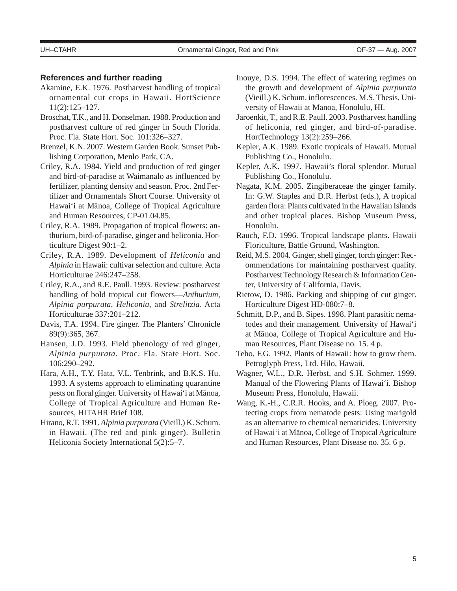# **References and further reading**

- Akamine, E.K. 1976. Postharvest handling of tropical ornamental cut crops in Hawaii. HortScience 11(2):125–127.
- Broschat, T.K., and H. Donselman. 1988. Production and postharvest culture of red ginger in South Florida. Proc. Fla. State Hort. Soc. 101:326–327.
- Brenzel, K.N. 2007. Western Garden Book. Sunset Publishing Corporation, Menlo Park, CA.
- Criley, R.A. 1984. Yield and production of red ginger and bird-of-paradise at Waimanalo as influenced by fertilizer, planting density and season. Proc. 2nd Fertilizer and Ornamentals Short Course. University of Hawai'i at Mänoa, College of Tropical Agriculture and Human Resources, CP-01.04.85.
- Criley, R.A. 1989. Propagation of tropical flowers: anthurium, bird-of-paradise, ginger and heliconia. Horticulture Digest 90:1–2.
- Criley, R.A. 1989. Development of *Heliconia* and *Alpinia* in Hawaii: cultivar selection and culture. Acta Horticulturae 246:247–258.
- Criley, R.A., and R.E. Paull. 1993. Review: postharvest handling of bold tropical cut flowers—*Anthurium*, *Alpinia purpurata*, *Heliconia*, and *Strelitzia*. Acta Horticulturae 337:201–212.
- Davis, T.A. 1994. Fire ginger. The Planters' Chronicle 89(9):365, 367.
- Hansen, J.D. 1993. Field phenology of red ginger, *Alpinia purpurata*. Proc. Fla. State Hort. Soc. 106:290–292.
- Hara, A.H., T.Y. Hata, V.L. Tenbrink, and B.K.S. Hu. 1993. A systems approach to eliminating quarantine pests on floral ginger. University of Hawai'i at Mänoa, College of Tropical Agriculture and Human Resources, HITAHR Brief 108.
- Hirano, R.T. 1991. *Alpinia purpurata* (Vieill.) K. Schum. in Hawaii. (The red and pink ginger). Bulletin Heliconia Society International 5(2):5–7.
- Inouye, D.S. 1994. The effect of watering regimes on the growth and development of *Alpinia purpurata*  (Vieill.) K. Schum. inflorescences. M.S. Thesis, University of Hawaii at Manoa, Honolulu, HI.
- Jaroenkit, T., and R.E. Paull. 2003. Postharvest handling of heliconia, red ginger, and bird-of-paradise. HortTechnology 13(2):259–266.
- Kepler, A.K. 1989. Exotic tropicals of Hawaii. Mutual Publishing Co., Honolulu.
- Kepler, A.K. 1997. Hawaii's floral splendor. Mutual Publishing Co., Honolulu.
- Nagata, K.M. 2005. Zingiberaceae the ginger family. In: G.W. Staples and D.R. Herbst (eds.), A tropical garden flora: Plants cultivated in the Hawaiian Islands and other tropical places. Bishop Museum Press, Honolulu.
- Rauch, F.D. 1996. Tropical landscape plants. Hawaii Floriculture, Battle Ground, Washington.
- Reid, M.S. 2004. Ginger, shell ginger, torch ginger: Recommendations for maintaining postharvest quality. Postharvest Technology Research & Information Center, University of California, Davis.
- Rietow, D. 1986. Packing and shipping of cut ginger. Horticulture Digest HD-080:7–8.
- Schmitt, D.P., and B. Sipes. 1998. Plant parasitic nematodes and their management. University of Hawai'i at Mänoa, College of Tropical Agriculture and Human Resources, Plant Disease no. 15. 4 p.
- Teho, F.G. 1992. Plants of Hawaii: how to grow them. Petroglyph Press, Ltd. Hilo, Hawaii.
- Wagner, W.L., D.R. Herbst, and S.H. Sohmer. 1999. Manual of the Flowering Plants of Hawai'i. Bishop Museum Press, Honolulu, Hawaii.
- Wang, K.-H., C.R.R. Hooks, and A. Ploeg. 2007. Protecting crops from nematode pests: Using marigold as an alternative to chemical nematicides. University of Hawai'i at Mänoa, College of Tropical Agriculture and Human Resources, Plant Disease no. 35. 6 p.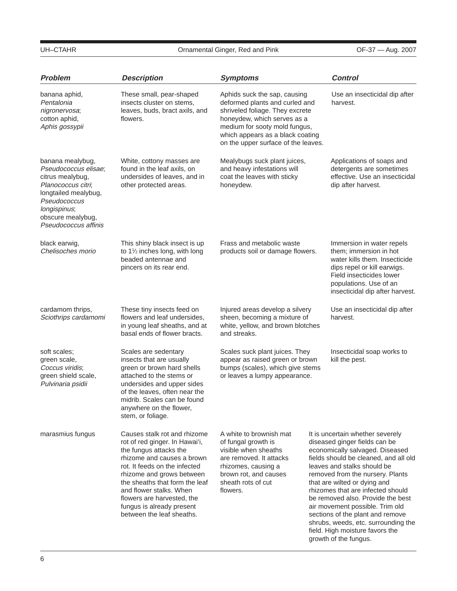# UH–CTAHR **CHANGE COMETA COMEDIA COMMUNICE** Ornamental Ginger, Red and Pink **CHANGE COMMUNICE OF-37** — Aug. 2007

| <b>Problem</b>                                                                                                                                                                          | <b>Description</b>                                                                                                                                                                                                                                                                                                                        | <b>Symptoms</b>                                                                                                                                                                                                                              |                                                                                                                                                                                                                                                                                                                                                                                                                                                                                                      | <b>Control</b>                                                                                                                                                                                               |
|-----------------------------------------------------------------------------------------------------------------------------------------------------------------------------------------|-------------------------------------------------------------------------------------------------------------------------------------------------------------------------------------------------------------------------------------------------------------------------------------------------------------------------------------------|----------------------------------------------------------------------------------------------------------------------------------------------------------------------------------------------------------------------------------------------|------------------------------------------------------------------------------------------------------------------------------------------------------------------------------------------------------------------------------------------------------------------------------------------------------------------------------------------------------------------------------------------------------------------------------------------------------------------------------------------------------|--------------------------------------------------------------------------------------------------------------------------------------------------------------------------------------------------------------|
| banana aphid,<br>Pentalonia<br>nigronervosa;<br>cotton aphid,<br>Aphis gossypii                                                                                                         | These small, pear-shaped<br>insects cluster on stems,<br>leaves, buds, bract axils, and<br>flowers.                                                                                                                                                                                                                                       | Aphids suck the sap, causing<br>deformed plants and curled and<br>shriveled foliage. They excrete<br>honeydew, which serves as a<br>medium for sooty mold fungus,<br>which appears as a black coating<br>on the upper surface of the leaves. |                                                                                                                                                                                                                                                                                                                                                                                                                                                                                                      | Use an insecticidal dip after<br>harvest.                                                                                                                                                                    |
| banana mealybug,<br>Pseudococcus elisae;<br>citrus mealybug,<br>Planococcus citri;<br>longtailed mealybug,<br>Pseudococcus<br>longispinus;<br>obscure mealybug,<br>Pseudococcus affinis | White, cottony masses are<br>found in the leaf axils, on<br>undersides of leaves, and in<br>other protected areas.                                                                                                                                                                                                                        | Mealybugs suck plant juices,<br>and heavy infestations will<br>coat the leaves with sticky<br>honeydew.                                                                                                                                      |                                                                                                                                                                                                                                                                                                                                                                                                                                                                                                      | Applications of soaps and<br>detergents are sometimes<br>effective. Use an insecticidal<br>dip after harvest.                                                                                                |
| black earwig,<br>Chelisoches morio                                                                                                                                                      | This shiny black insect is up<br>to 11/2 inches long, with long<br>beaded antennae and<br>pincers on its rear end.                                                                                                                                                                                                                        | Frass and metabolic waste<br>products soil or damage flowers.                                                                                                                                                                                |                                                                                                                                                                                                                                                                                                                                                                                                                                                                                                      | Immersion in water repels<br>them; immersion in hot<br>water kills them. Insecticide<br>dips repel or kill earwigs.<br>Field insecticides lower<br>populations. Use of an<br>insecticidal dip after harvest. |
| cardamom thrips,<br>Sciothrips cardamomi                                                                                                                                                | These tiny insects feed on<br>flowers and leaf undersides,<br>in young leaf sheaths, and at<br>basal ends of flower bracts.                                                                                                                                                                                                               | Injured areas develop a silvery<br>sheen, becoming a mixture of<br>harvest.<br>white, yellow, and brown blotches<br>and streaks.                                                                                                             |                                                                                                                                                                                                                                                                                                                                                                                                                                                                                                      | Use an insecticidal dip after                                                                                                                                                                                |
| soft scales;<br>green scale,<br>Coccus viridis;<br>green shield scale,<br>Pulvinaria psidii                                                                                             | Scales are sedentary<br>insects that are usually<br>green or brown hard shells<br>attached to the stems or<br>undersides and upper sides<br>of the leaves, often near the<br>midrib. Scales can be found<br>anywhere on the flower,<br>stem, or foliage.                                                                                  | Scales suck plant juices. They<br>appear as raised green or brown<br>bumps (scales), which give stems<br>or leaves a lumpy appearance.                                                                                                       |                                                                                                                                                                                                                                                                                                                                                                                                                                                                                                      | Insecticidal soap works to<br>kill the pest.                                                                                                                                                                 |
| marasmius fungus                                                                                                                                                                        | Causes stalk rot and rhizome<br>rot of red ginger. In Hawai'i,<br>the fungus attacks the<br>rhizome and causes a brown<br>rot. It feeds on the infected<br>rhizome and grows between<br>the sheaths that form the leaf<br>and flower stalks. When<br>flowers are harvested, the<br>fungus is already present<br>between the leaf sheaths. | A white to brownish mat<br>of fungal growth is<br>visible when sheaths<br>are removed. It attacks<br>rhizomes, causing a<br>brown rot, and causes<br>sheath rots of cut<br>flowers.                                                          | It is uncertain whether severely<br>diseased ginger fields can be<br>economically salvaged. Diseased<br>fields should be cleaned, and all old<br>leaves and stalks should be<br>removed from the nursery. Plants<br>that are wilted or dying and<br>rhizomes that are infected should<br>be removed also. Provide the best<br>air movement possible. Trim old<br>sections of the plant and remove<br>shrubs, weeds, etc. surrounding the<br>field. High moisture favors the<br>growth of the fungus. |                                                                                                                                                                                                              |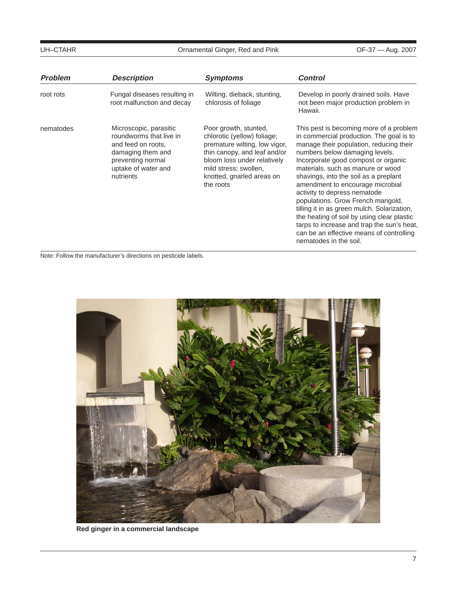# UH–CTAHR **CHUNG COMEDIA COMEDIA COMMUNICER** Ornamental Ginger, Red and Pink **OF-37** — Aug. 2007

| <b>Problem</b> | <b>Description</b>                                                                                                                                    | <b>Symptoms</b>                                                                                                                                                                                                         | <b>Control</b>                                                                                                                                                                                                                                                                                                                                                                                                                                                                                                                                                                                                   |
|----------------|-------------------------------------------------------------------------------------------------------------------------------------------------------|-------------------------------------------------------------------------------------------------------------------------------------------------------------------------------------------------------------------------|------------------------------------------------------------------------------------------------------------------------------------------------------------------------------------------------------------------------------------------------------------------------------------------------------------------------------------------------------------------------------------------------------------------------------------------------------------------------------------------------------------------------------------------------------------------------------------------------------------------|
| root rots      | Fungal diseases resulting in<br>root malfunction and decay                                                                                            | Wilting, dieback, stunting,<br>chlorosis of foliage                                                                                                                                                                     | Develop in poorly drained soils. Have<br>not been major production problem in<br>Hawaii.                                                                                                                                                                                                                                                                                                                                                                                                                                                                                                                         |
| nematodes      | Microscopic, parasitic<br>roundworms that live in<br>and feed on roots.<br>damaging them and<br>preventing normal<br>uptake of water and<br>nutrients | Poor growth, stunted,<br>chlorotic (yellow) foliage;<br>premature wilting, low vigor,<br>thin canopy, and leaf and/or<br>bloom loss under relatively<br>mild stress; swollen,<br>knotted, gnarled areas on<br>the roots | This pest is becoming more of a problem<br>in commercial production. The goal is to<br>manage their population, reducing their<br>numbers below damaging levels.<br>Incorporate good compost or organic<br>materials, such as manure or wood<br>shavings, into the soil as a preplant<br>amendment to encourage microbial<br>activity to depress nematode<br>populations. Grow French marigold,<br>tilling it in as green mulch. Solarization,<br>the heating of soil by using clear plastic<br>tarps to increase and trap the sun's heat,<br>can be an effective means of controlling<br>nematodes in the soil. |

Note: Follow the manufacturer's directions on pesticide labels.



**Red ginger in a commercial landscape**